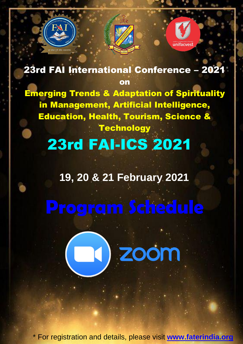

23rd FAI International Conference – 2021 on

Emerging Trends & Adaptation of Spirituality in Management, Artificial Intelligence, Education, Health, Tourism, Science & **Technology** 

## 23rd FAI-ICS 2021

## **19, 20 & 21 February 2021**

**DI ZOOM**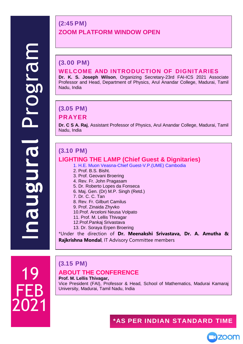#### **(2:45 PM) ZOOM PLATFORM WINDOW OPEN**

#### **(3.00 PM) WELCOME AND INTRODUCTION OF DIGNITARIES**

**Dr. K. S. Joseph Wilson**, Organizing Secretary-23rd FAI-ICS 2021 Associate Professor and Head, Department of Physics, Arul Anandar College, Madurai, Tamil Nadu, India

#### **(3.05 PM)**

#### **PRAYER**

**Dr. C S A. Raj**, Assistant Professor of Physics, Arul Anandar College, Madurai, Tamil Nadu, India

#### **(3.10 PM)**

#### **LIGHTING THE LAMP (Chief Guest & Dignitaries)**

- 1. H.E. Muon Veasna-Chief Guest-V.P.(UME) Cambodia
	- 2. Prof. B.S. Bisht.
	- 3. Prof. Geovani Broering
	- 4. Rev. Fr. John Pragasam
	- 5. Dr. Roberto Lopes da Fonseca
	- 6. Maj. Gen. (Dr) M.P. Singh (Retd.)
	- 7. Dr. C. C. Tan
- 8. Rev. Fr. Gilburt Camilus
- 9. Prof. Zinaida Zhyvko
- 10.Prof. Arceloni Neusa Volpato
- 11. Prof. M. Lellis Thivagar
- 12.Prof.Pankaj Srivastava
- 13. Dr. Soraya Erpen Broering

\*Under the direction of **Dr. Meenakshi Srivastava, Dr. A. Amutha & Rajkrishna Mondal**, IT Advisory Committee members

19 FEB 2021

### **(3.15 PM)**

#### **ABOUT THE CONFERENCE**

**Prof. M. Lellis Thivagar,**  Vice President (FAI), Professor & Head, School of Mathematics, Madurai Kamaraj University, Madurai, Tamil Nadu, India

#### **\*AS PER INDIAN STANDARD TIME**

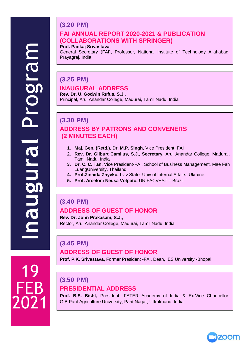19

FEB

2021

#### **(3.20 PM) FAI ANNUAL REPORT 2020-2021 & PUBLICATION (COLLABORATIONS WITH SPRINGER)**

#### **Prof. Pankaj Srivastava,**

General Secretary (FAI), Professor, National Institute of Technology Allahabad, Prayagraj, India

#### **(3.25 PM)**

#### **INAUGURAL ADDRESS**

**Rev. Dr. U. Godwin Rufus, S.J.,** Principal, Arul Anandar College, Madurai, Tamil Nadu, India

#### **(3.30 PM) ADDRESS BY PATRONS AND CONVENERS (2 MINUTES EACH)**

- **1. Maj. Gen. (Retd.), Dr. M.P. Singh,** Vice President, FAI
- **2. Rev. Dr. Gilburt Camilus, S.J., Secretary,** Arul Anandar College, Madurai, Tamil Nadu, India
- **3. Dr. C. C. Tan,** Vice President-FAI, School of Business Management, Mae Fah LuangUniversity, Thailand.
- **4. Prof.Zinaida Zhyvko,** Lviv State Univ of Internal Affairs, Ukraine.
- **5. Prof. Arceloni Neusa Volpato,** UNIFACVEST Brazil

#### **(3.40 PM) ADDRESS OF GUEST OF HONOR**

**Rev. Dr. John Prakasam, S.J.,** Rector, Arul Anandar College, Madurai, Tamil Nadu, India

#### **(3.45 PM) ADDRESS OF GUEST OF HONOR**

**Prof. P.K. Srivastava,** Former President -FAI, Dean, IES University -Bhopal

#### **(3.50 PM)**

#### **PRESIDENTIAL ADDRESS**

**Prof. B.S. Bisht,** President- FATER Academy of India & Ex.Vice Chancellor-G.B.Pant Agriculture University, Pant Nagar, Uttrakhand, India

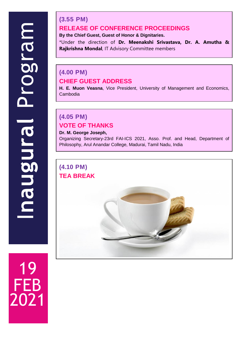19

FEB

2021

#### **(3.55 PM) RELEASE OF CONFERENCE PROCEEDINGS**

**By the Chief Guest, Guest of Honor & Dignitaries.**

\*Under the direction of **Dr. Meenakshi Srivastava, Dr. A. Amutha & Rajkrishna Mondal**, IT Advisory Committee members

### **(4.00 PM) CHIEF GUEST ADDRESS**

**H. E. Muon Veasna**, Vice President, University of Management and Economics, Cambodia

### **(4.05 PM) VOTE OF THANKS**

#### **Dr. M. George Joseph,**

Organizing Secretary-23rd FAI-ICS 2021, Asso. Prof. and Head, Department of Philosophy, Arul Anandar College, Madurai, Tamil Nadu, India

# **(4.10 PM)**

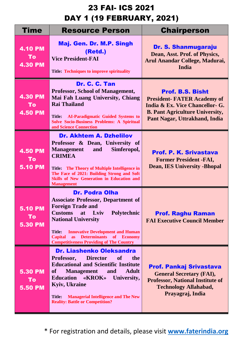| Time                                          | <b>Resource Person</b>                                                                                                                                                                                                                                                                                                                                           | <b>Chairperson</b>                                                                                                                                                         |
|-----------------------------------------------|------------------------------------------------------------------------------------------------------------------------------------------------------------------------------------------------------------------------------------------------------------------------------------------------------------------------------------------------------------------|----------------------------------------------------------------------------------------------------------------------------------------------------------------------------|
| <b>4.10 PM</b><br><b>To</b><br><b>4.30 PM</b> | Maj. Gen. Dr. M.P. Singh<br>(Retd.)<br><b>Vice President-FAI</b><br><b>Title: Techniques to improve spirituality</b>                                                                                                                                                                                                                                             | Dr. S. Shanmugaraju<br>Dean, Asst. Prof. of Physics,<br>Arul Anandar College, Madurai,<br>India                                                                            |
| <b>4.30 PM</b><br>To<br><b>4.50 PM</b>        | Dr. C. C. Tan<br><b>Professor, School of Management,</b><br>Mai Fah Luang University, Chiang<br><b>Rai Thailand</b><br>Title: AI-Paradigmatic Guided Systems to<br><b>Solve Socio-Business Problems: A Spiritual</b><br>and Science Connection                                                                                                                   | <b>Prof. B.S. Bisht</b><br><b>President-FATER Academy of</b><br>India & Ex. Vice Chancellor- G.<br><b>B. Pant Agriculture University,</b><br>Pant Nagar, Uttrakhand, India |
| <b>4.50 PM</b><br>To<br><b>5.10 PM</b>        | <b>Dr. Akhtem A. Dzhelilov</b><br>Professor & Dean, University of<br>Simferopol,<br><b>Management</b><br>and<br><b>CRIMEA</b><br>Title: The Theory of Multiple Intelligence in<br>The Face of 2021: Building Strong and Soft<br><b>Skills of New Generation in Education and</b><br><b>Management</b>                                                            | <b>Prof. P. K. Srivastava</b><br><b>Former President -FAI,</b><br><b>Dean, IES University -Bhopal</b>                                                                      |
| <b>5.10 PM</b><br>To<br><b>5.30 PM</b>        | <b>Dr. Podra Olha</b><br><b>Associate Professor, Department of</b><br><b>Foreign Trade and</b><br><b>Customs</b><br>at Lviv<br><b>Polytechnic</b><br><b>National University</b><br><b>Innovative Development and Human</b><br><b>Title:</b><br>Determinants of Economy<br><b>Capital</b><br><b>as</b><br><b>Competitiveness Providing of The Country</b>         | <b>Prof. Raghu Raman</b><br><b>FAI Executive Council Member</b>                                                                                                            |
| <b>5.30 PM</b><br>To<br><b>5.50 PM</b>        | <b>Dr. Liashenko Oleksandra</b><br><b>Director</b><br><b>of</b><br>the<br>Professor,<br><b>Educational and Scientific Institute</b><br><b>Adult</b><br><b>Management</b><br><b>of</b><br>and<br>Education «KROK»<br>University,<br><b>Kyiv, Ukraine</b><br><b>Title:</b><br><b>Managerial Intelligence and The New</b><br><b>Reality: Battle or Competition?</b> | <b>Prof. Pankaj Srivastava</b><br><b>General Secretary (FAI),</b><br><b>Professor, National Institute of</b><br><b>Technology Allahabad,</b><br>Prayagraj, India           |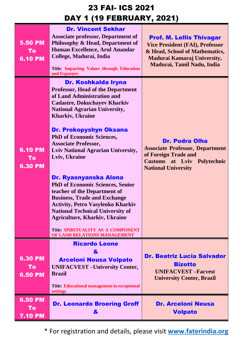| <b>5.50 PM</b><br>To<br><b>6.10 PM</b> | <b>Dr. Vincent Sekhar</b><br><b>Associate professor, Department of</b><br>Philosophy & Head, Department of<br>Human Excellence, Arul Anandar<br>College, Madurai, India<br><b>Title: Imparting Values through Education</b><br>and Exposure                                                                                                                                                                                                                                                                                                                                                                                                                                                                                       | <b>Prof. M. Lellis Thivagar</b><br><b>Vice President (FAI), Professor</b><br>& Head, School of Mathematics,<br>Madurai Kamaraj University,<br>Madurai, Tamil Nadu, India |
|----------------------------------------|-----------------------------------------------------------------------------------------------------------------------------------------------------------------------------------------------------------------------------------------------------------------------------------------------------------------------------------------------------------------------------------------------------------------------------------------------------------------------------------------------------------------------------------------------------------------------------------------------------------------------------------------------------------------------------------------------------------------------------------|--------------------------------------------------------------------------------------------------------------------------------------------------------------------------|
| <b>6.10 PM</b><br>To<br><b>6.30 PM</b> | Dr. Koshkalda Iryna<br><b>Professor, Head of the Department</b><br>of Land Administration and<br><b>Cadastre, Dokuchayev Kharkiv</b><br><b>National Agrarian University,</b><br><b>Kharkiv</b> , Ukraine<br><b>Dr. Prokopyshyn Oksana</b><br><b>PhD</b> of Economic Sciences,<br><b>Associate Professor,</b><br><b>Lviv National Agrarian University,</b><br>Lviv, Ukraine<br>Dr. Ryasnyanska Alona<br><b>PhD of Economic Sciences, Senior</b><br>teacher of the Department of<br><b>Business, Trade and Exchange</b><br><b>Activity, Petro Vasylenko Kharkiv</b><br><b>National Technical University of</b><br><b>Agriculture, Kharkiv, Ukraine</b><br><b>Title: SPIRITUALITY AS A COMPONENT</b><br>OF LAND RELATIONS MANAGEMENT | <b>Dr. Podra Olha</b><br><b>Associate Professor, Department</b><br>of Foreign Trade and<br><b>Customs at Lviv Polytechnic</b><br><b>National University</b>              |
| 6.30 PM<br>То<br><b>6.50 PM</b>        | <b>Ricardo Leone</b><br>&<br><b>Arceloni Neusa Volpato</b><br><b>UNIFACVEST</b> - University Center,<br><b>Brazil</b><br><b>Title: Educational management in exceptional</b><br>settings                                                                                                                                                                                                                                                                                                                                                                                                                                                                                                                                          | <b>Dr. Beatriz Lucia Salvador</b><br><b>Bizotto</b><br><b>UNIFACVEST-Facvest</b><br><b>University Center, Brazil</b>                                                     |
| <b>6.50 PM</b><br>To<br><b>7.10 PM</b> | <b>Dr. Leonardo Broering Groff</b><br>&                                                                                                                                                                                                                                                                                                                                                                                                                                                                                                                                                                                                                                                                                           | <b>Dr. Arceloni Neusa</b><br><b>Volpato</b>                                                                                                                              |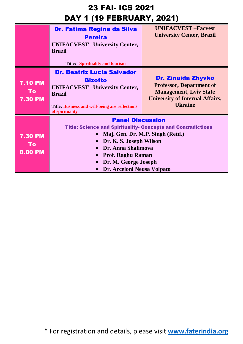|                                               | Dr. Fatima Regina da Silva<br><b>Pereira</b><br><b>UNIFACVEST</b> - University Center,<br><b>Brazil</b><br><b>Title: Spirituality and tourism</b>                                                                                                                     | <b>UNIFACVEST-Facvest</b><br><b>University Center, Brazil</b>                                                                                             |
|-----------------------------------------------|-----------------------------------------------------------------------------------------------------------------------------------------------------------------------------------------------------------------------------------------------------------------------|-----------------------------------------------------------------------------------------------------------------------------------------------------------|
| <b>7.10 PM</b><br><b>To</b><br><b>7.30 PM</b> | <b>Dr. Beatriz Lucia Salvador</b><br><b>Bizotto</b><br><b>UNIFACVEST</b> - University Center,<br><b>Brazil</b><br><b>Title: Business and well-being are reflections</b><br>of spirituality                                                                            | <b>Dr. Zinaida Zhyvko</b><br><b>Professor, Department of</b><br><b>Management, Lviv State</b><br><b>University of Internal Affairs,</b><br><b>Ukraine</b> |
| <b>7.30 PM</b><br><b>To</b><br><b>8.00 PM</b> | <b>Panel Discussion</b><br><b>Title: Science and Spirituality- Concepts and Contradictions</b><br>Maj. Gen. Dr. M.P. Singh (Retd.)<br>Dr. K. S. Joseph Wilson<br>Dr. Anna Shalimova<br><b>Prof. Raghu Raman</b><br>Dr. M. George Joseph<br>Dr. Arceloni Neusa Volpato |                                                                                                                                                           |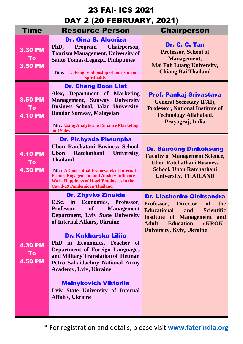| <b>Time</b>                                   | <b>Resource Person</b>                                                                                                                                                                                                                                                                                                                                                                                                                                                                                    | <b>Chairperson</b>                                                                                                                                                                                                                                   |
|-----------------------------------------------|-----------------------------------------------------------------------------------------------------------------------------------------------------------------------------------------------------------------------------------------------------------------------------------------------------------------------------------------------------------------------------------------------------------------------------------------------------------------------------------------------------------|------------------------------------------------------------------------------------------------------------------------------------------------------------------------------------------------------------------------------------------------------|
| <b>3.30 PM</b><br>To<br><b>3.50 PM</b>        | <b>Dr. Gina B. Alcoriza</b><br>Chairperson,<br>PhD,<br><b>Program</b><br><b>Tourism Management, University of</b><br><b>Santo Tomas-Legazpi, Philippines</b><br>Title: Evolving relationship of tourism and<br>spirituality                                                                                                                                                                                                                                                                               | Dr. C. C. Tan<br><b>Professor, School of</b><br>Management,<br><b>Mai Fah Luang University,</b><br><b>Chiang Rai Thailand</b>                                                                                                                        |
| <b>3.50 PM</b><br>To<br><b>4.10 PM</b>        | <b>Dr. Cheng Boon Liat</b><br>Alex, Department of Marketing<br>Management, Sunway University<br>Business School, Jalan University,<br><b>Bandar Sunway, Malaysian</b><br><b>Title: Using Analytics to Enhance Marketing</b><br>and Sales                                                                                                                                                                                                                                                                  | <b>Prof. Pankaj Srivastava</b><br><b>General Secretary (FAI),</b><br><b>Professor, National Institute of</b><br><b>Technology Allahabad,</b><br>Prayagraj, India                                                                                     |
| <b>4.10 PM</b><br>To<br><b>4.30 PM</b>        | <b>Dr. Pichyada Pheunpha</b><br>Ubon Ratchatani Business School,<br>Ratchathani<br>University,<br><b>Ubon</b><br><b>Thailand</b><br><b>Title: A Conceptual Framework of Internal</b><br><b>Factor, Engagement, and Anxiety Influence</b><br><b>Work Happiness of Hotel Employees in the</b><br><b>Covid-19 Pandemic in Thailand</b>                                                                                                                                                                       | <b>Dr. Sairoong Dinkoksung</b><br><b>Faculty of Management Science,</b><br><b>Ubon Ratchathani Business</b><br><b>School, Ubon Ratchathani</b><br><b>University, THAILAND</b>                                                                        |
| <b>4.30 PM</b><br><b>To</b><br><b>4.50 PM</b> | <b>Dr. Zhyvko Zinaida</b><br>D.Sc. in Economics, Professor,<br><b>Professor</b><br><b>Management</b><br><b>of</b><br>Department, Lviv State University<br>of Internal Affairs, Ukraine<br>Dr. Kukharska Lilija<br>PhD in Economics, Teacher of<br><b>Department of Foreign Languages</b><br>and Military Translation of Hetman<br><b>Petro Sahaidachny National Army</b><br><b>Academy, Lviv, Ukraine</b><br><b>Melnykovich Viktoriia</b><br>Lviv State University of Internal<br><b>Affairs, Ukraine</b> | <b>Dr. Liashenko Oleksandra</b><br>Professor, Director<br><b>of</b><br>the<br><b>Educational</b><br><b>Scientific</b><br>and<br><b>Institute of Management and</b><br><b>Education</b><br><b>Adult</b><br>«KROK»<br><b>University, Kyiv, Ukraine</b> |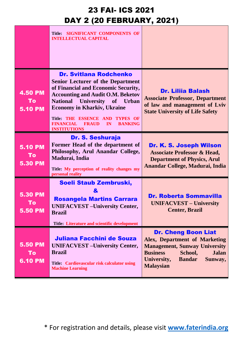|                                        | Title: SIGNIFICANT COMPONENTS OF<br><b>INTELLECTUAL CAPITAL</b>                                                                                                                                                                                                                                                                                                                     |                                                                                                                                                                                                                         |
|----------------------------------------|-------------------------------------------------------------------------------------------------------------------------------------------------------------------------------------------------------------------------------------------------------------------------------------------------------------------------------------------------------------------------------------|-------------------------------------------------------------------------------------------------------------------------------------------------------------------------------------------------------------------------|
| <b>4.50 PM</b><br>To<br><b>5.10 PM</b> | <b>Dr. Svitlana Rodchenko</b><br><b>Senior Lecturer of the Department</b><br>of Financial and Economic Security,<br><b>Accounting and Audit O.M. Beketov</b><br><b>National University</b><br>of Urban<br><b>Economy in Kharkiv, Ukraine</b><br><b>Title: THE ESSENCE AND</b><br><b>TYPES OF</b><br><b>FINANCIAL</b><br><b>BANKING</b><br><b>FRAUD</b><br>IN<br><b>INSTITUTIONS</b> | <b>Dr. Lilija Balash</b><br><b>Associate Professor, Department</b><br>of law and management of Lviv<br><b>State University of Life Safety</b>                                                                           |
| <b>5.10 PM</b><br>To<br><b>5.30 PM</b> | Dr. S. Seshuraja<br>Former Head of the department of<br>Philosophy, Arul Anandar College,<br>Madurai, India<br>Title: My perception of reality changes my<br>personal reality                                                                                                                                                                                                       | Dr. K. S. Joseph Wilson<br><b>Associate Professor &amp; Head,</b><br><b>Department of Physics, Arul</b><br>Anandar College, Madurai, India                                                                              |
| <b>5.30 PM</b><br>To<br><b>5.50 PM</b> | Soeli Staub Zembruski,<br>&<br><b>Rosangela Martins Carrara</b><br><b>UNIFACVEST-University Center,</b><br><b>Brazil</b><br><b>Title: Literature and scientific development</b>                                                                                                                                                                                                     | <b>Dr. Roberta Sommavilla</b><br><b>UNIFACVEST – University</b><br><b>Center, Brazil</b>                                                                                                                                |
| <b>5.50 PM</b><br>To<br><b>6.10 PM</b> | Juliana Facchini de Souza<br><b>UNIFACVEST</b> – University Center,<br><b>Brazil</b><br>Title: Cardiovascular risk calculator using<br><b>Machine Learning</b>                                                                                                                                                                                                                      | <b>Dr. Cheng Boon Liat</b><br><b>Alex, Department of Marketing</b><br><b>Management, Sunway University</b><br><b>Business</b><br>School,<br><b>Jalan</b><br><b>Bandar</b><br>University,<br>Sunway,<br><b>Malaysian</b> |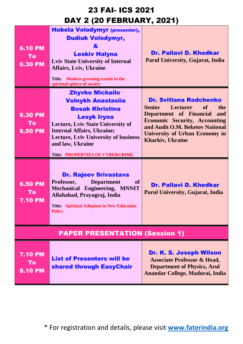| <b>6.10 PM</b><br>To<br><b>6.30 PM</b> | Hobela Volodymyr (presenter),<br><b>Dudiuk Volodymyr,</b><br>&<br><b>Leskiv Halyna</b><br><b>Lviv State University of Internal</b><br><b>Affairs, Lviv, Ukraine</b><br>Title: Modern greening trends in the<br>spiritual sphere of society                                                        | <b>Dr. Pallavi D. Khedkar</b><br><b>Parul University, Gujarat, India</b>                                                                                                                                                                                               |
|----------------------------------------|---------------------------------------------------------------------------------------------------------------------------------------------------------------------------------------------------------------------------------------------------------------------------------------------------|------------------------------------------------------------------------------------------------------------------------------------------------------------------------------------------------------------------------------------------------------------------------|
| 6.30 PM<br>To<br><b>6.50 PM</b>        | <b>Zhyvko Michailo</b><br><b>Volnykh Anastasiia</b><br><b>Bosak Khristina</b><br><b>Lesyk Iryna</b><br><b>Lecture, Lviv State University of</b><br><b>Internal Affairs, Ukraine;</b><br><b>Lecture, Lviv University of business</b><br>and law, Ukraine<br><b>Title: PROPERTIES OF CYBERCRIME</b> | <b>Dr. Svitlana Rodchenko</b><br><b>Lecturer</b><br><b>of</b><br><b>Senior</b><br>the<br>Department of Financial<br>and<br><b>Economic Security, Accounting</b><br>and Audit O.M. Beketov National<br><b>University of Urban Economy in</b><br><b>Kharkiv, Ukraine</b> |
| <b>6.50 PM</b><br>To<br><b>7.10 PM</b> | <b>Dr. Rajeev Srivastava</b><br><b>Department</b><br>Professor,<br>of<br>Mechanical Engineering, MNNIT<br>Allahabad, Prayagraj, India<br><b>Title: Spiritual Adoption in New Education</b><br><b>Policy</b>                                                                                       | <b>Dr. Pallavi D. Khedkar</b><br><b>Parul University, Gujarat, India</b>                                                                                                                                                                                               |
| <b>PAPER PRESENTATION (Session 1)</b>  |                                                                                                                                                                                                                                                                                                   |                                                                                                                                                                                                                                                                        |
| <b>7.10 PM</b><br>To<br><b>8.10 PM</b> | <b>List of Presenters will be</b><br><b>shared through EasyChair</b>                                                                                                                                                                                                                              | Dr. K. S. Joseph Wilson<br><b>Associate Professor &amp; Head,</b><br><b>Department of Physics, Arul</b><br>Anandar College, Madurai, India                                                                                                                             |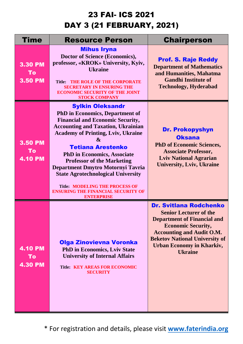| Time                                   | <b>Resource Person</b>                                                                                                                                                                                                                                                                                                                                                                                                                                                                                                              | <b>Chairperson</b>                                                                                                                                                                                                                                                   |
|----------------------------------------|-------------------------------------------------------------------------------------------------------------------------------------------------------------------------------------------------------------------------------------------------------------------------------------------------------------------------------------------------------------------------------------------------------------------------------------------------------------------------------------------------------------------------------------|----------------------------------------------------------------------------------------------------------------------------------------------------------------------------------------------------------------------------------------------------------------------|
| 3.30 PM<br>To<br><b>3.50 PM</b>        | <b>Mihus Iryna</b><br>Doctor of Science (Economics),<br>professor, «KROK» University, Kyiv,<br><b>Ukraine</b><br>THE ROLE OF THE CORPORATE<br><b>Title:</b><br><b>SECRETARY IN ENSURING THE</b><br><b>ECONOMIC SECURITY OF THE JOINT</b><br><b>STOCK COMPANY</b>                                                                                                                                                                                                                                                                    | <b>Prof. S. Raje Reddy</b><br><b>Department of Mathematics</b><br>and Humanities, Mahatma<br><b>Gandhi Institute of</b><br><b>Technology, Hyderabad</b>                                                                                                              |
| <b>3.50 PM</b><br>To<br><b>4.10 PM</b> | <b>Sylkin Oleksandr</b><br><b>PhD</b> in Economics, Department of<br><b>Financial and Economic Security,</b><br><b>Accounting and Taxation, Ukrainian</b><br><b>Academy of Printing, Lviv, Ukraine</b><br>$\boldsymbol{\alpha}$<br><b>Tetiana Arestenko</b><br><b>PhD in Economics, Associate</b><br><b>Professor of the Marketing</b><br>Department Dmytro Motornyi Tavria<br><b>State Agrotechnological University</b><br><b>Title: MODELING THE PROCESS OF</b><br><b>ENSURING THE FINANCIAL SECURITY OF</b><br><b>ENTERPRISE</b> | <b>Dr. Prokopyshyn</b><br><b>Oksana</b><br><b>PhD of Economic Sciences,</b><br><b>Associate Professor,</b><br><b>Lviv National Agrarian</b><br><b>University, Lviv, Ukraine</b>                                                                                      |
| <b>4.10 PM</b><br>To<br><b>4.30 PM</b> | Olga Zinovievna Voronka<br><b>PhD in Economics, Lviv State</b><br><b>University of Internal Affairs</b><br><b>Title: KEY AREAS FOR ECONOMIC</b><br><b>SECURITY</b>                                                                                                                                                                                                                                                                                                                                                                  | <b>Dr. Svitlana Rodchenko</b><br><b>Senior Lecturer of the</b><br><b>Department of Financial and</b><br><b>Economic Security,</b><br><b>Accounting and Audit O.M.</b><br><b>Beketov National University of</b><br><b>Urban Economy in Kharkiv,</b><br><b>Ukraine</b> |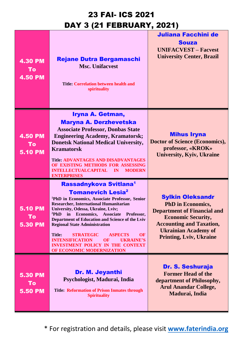| <b>4.30 PM</b><br>To<br><b>4.50 PM</b> | <b>Rejane Dutra Bergamaschi</b><br><b>Msc. Unifacyest</b><br><b>Title: Correlation between health and</b><br>spirituality                                                                                                                                                                                                                                                                                                                                                                                                                                                        | Juliana Facchini de<br><b>Souza</b><br><b>UNIFACVEST - Facvest</b><br><b>University Center, Brazil</b>                                                                                                                     |
|----------------------------------------|----------------------------------------------------------------------------------------------------------------------------------------------------------------------------------------------------------------------------------------------------------------------------------------------------------------------------------------------------------------------------------------------------------------------------------------------------------------------------------------------------------------------------------------------------------------------------------|----------------------------------------------------------------------------------------------------------------------------------------------------------------------------------------------------------------------------|
| 4.50 PM<br>To<br><b>5.10 PM</b>        | Iryna A. Getman,<br><b>Maryna A. Derzhevetska</b><br><b>Associate Professor, Donbas State</b><br><b>Engineering Academy, Kramatorsk;</b><br><b>Donetsk National Medical University,</b><br><b>Kramatorsk</b><br><b>Title: ADVANTAGES AND DISADVANTAGES</b><br>OF EXISTING METHODS FOR ASSESSING<br><b>INTELLECTUALCAPITAL</b><br>IN<br><b>MODERN</b><br><b>ENTERPRISES</b>                                                                                                                                                                                                       | <b>Mihus Iryna</b><br>Doctor of Science (Economics),<br>professor, «KROK»<br><b>University, Kyiv, Ukraine</b>                                                                                                              |
| <b>5.10 PM</b><br>To<br><b>5.30 PM</b> | Rassadnykova Svitlana <sup>1</sup><br><b>Tomanevich Lesia<sup>2</sup></b><br><sup>1</sup> PhD in Economics, Associate Professor, Senior<br><b>Researcher, International Humanitarian</b><br>University, Odessa, Ukraine, Lviv;<br><sup>2</sup> PhD in Economics, Associate Professor,<br>Department of Education and Science of the Lviv<br><b>Regional State Administration</b><br><b>STRATEGIC</b><br><b>Title:</b><br><b>ASPECTS</b><br>OF<br><b>INTENSIFICATION</b><br><b>OF</b><br><b>UKRAINE'S</b><br><b>INVESTMENT POLICY IN THE CONTEXT</b><br>OF ECONOMIC MODERNIZATION | <b>Sylkin Oleksandr</b><br><b>PhD</b> in Economics,<br><b>Department of Financial and</b><br><b>Economic Security,</b><br><b>Accounting and Taxation,</b><br><b>Ukrainian Academy of</b><br><b>Printing, Lviv, Ukraine</b> |
| <b>5.30 PM</b><br>To<br><b>5.50 PM</b> | <b>Dr. M. Jeyanthi</b><br>Psychologist, Madurai, India<br><b>Title: Reformation of Prison Inmates through</b><br><b>Spirituality</b>                                                                                                                                                                                                                                                                                                                                                                                                                                             | <b>Dr. S. Seshuraja</b><br><b>Former Head of the</b><br>department of Philosophy,<br><b>Arul Anandar College,</b><br>Madurai, India                                                                                        |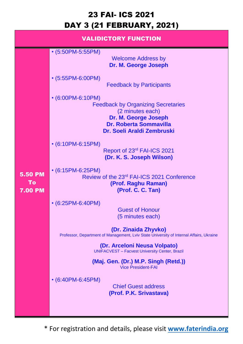|                                        | <b>VALIDICTORY FUNCTION</b>                                                                                                                                              |
|----------------------------------------|--------------------------------------------------------------------------------------------------------------------------------------------------------------------------|
|                                        | $\bullet$ (5:50PM-5:55PM)<br><b>Welcome Address by</b><br>Dr. M. George Joseph                                                                                           |
|                                        | • (5:55PM-6:00PM)<br><b>Feedback by Participants</b>                                                                                                                     |
|                                        | $\cdot$ (6:00PM-6:10PM)<br><b>Feedback by Organizing Secretaries</b><br>(2 minutes each)<br>Dr. M. George Joseph<br>Dr. Roberta Sommavilla<br>Dr. Soeli Araldi Zembruski |
|                                        | $\cdot$ (6:10PM-6:15PM)<br>Report of 23rd FAI-ICS 2021<br>(Dr. K. S. Joseph Wilson)                                                                                      |
| <b>5.50 PM</b><br>To<br><b>7.00 PM</b> | $\cdot$ (6:15PM-6:25PM)<br>Review of the 23rd FAI-ICS 2021 Conference<br>(Prof. Raghu Raman)<br>(Prof. C. C. Tan)                                                        |
|                                        | $\cdot$ (6:25PM-6:40PM)<br><b>Guest of Honour</b><br>(5 minutes each)                                                                                                    |
|                                        | (Dr. Zinaida Zhyvko)<br>Professor, Department of Management, Lviv State University of Internal Affairs, Ukraine                                                          |
|                                        | (Dr. Arceloni Neusa Volpato)<br><b>UNIFACVEST - Facvest University Center, Brazil</b>                                                                                    |
|                                        | (Maj. Gen. (Dr.) M.P. Singh (Retd.))<br><b>Vice President-FAI</b>                                                                                                        |
|                                        | $\cdot$ (6:40PM-6:45PM)<br><b>Chief Guest address</b><br>(Prof. P.K. Srivastava)                                                                                         |